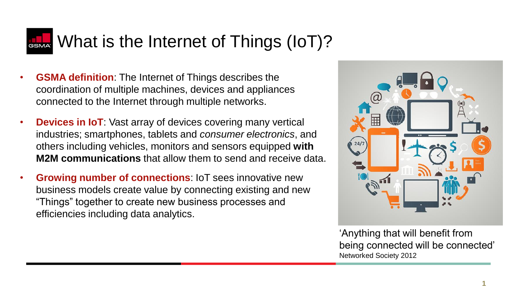## **RACK** What is the Internet of Things (IoT)?

- **GSMA definition**: The Internet of Things describes the coordination of multiple machines, devices and appliances connected to the Internet through multiple networks.
- **Devices in IoT**: Vast array of devices covering many vertical industries; smartphones, tablets and *consumer electronics*, and others including vehicles, monitors and sensors equipped **with M2M communications** that allow them to send and receive data.
- **Growing number of connections**: IoT sees innovative new business models create value by connecting existing and new "Things" together to create new business processes and efficiencies including data analytics.



'Anything that will benefit from being connected will be connected' Networked Society 2012